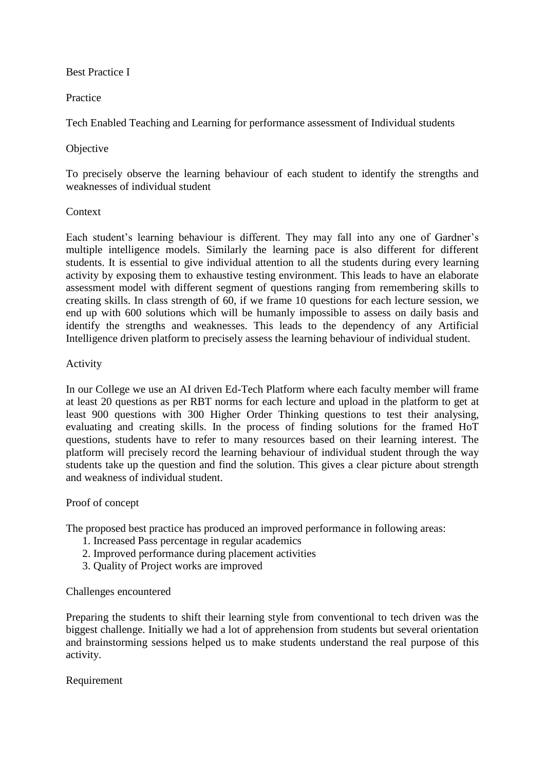### Best Practice I

# Practice

Tech Enabled Teaching and Learning for performance assessment of Individual students

# Objective

To precisely observe the learning behaviour of each student to identify the strengths and weaknesses of individual student

### **Context**

Each student's learning behaviour is different. They may fall into any one of Gardner's multiple intelligence models. Similarly the learning pace is also different for different students. It is essential to give individual attention to all the students during every learning activity by exposing them to exhaustive testing environment. This leads to have an elaborate assessment model with different segment of questions ranging from remembering skills to creating skills. In class strength of 60, if we frame 10 questions for each lecture session, we end up with 600 solutions which will be humanly impossible to assess on daily basis and identify the strengths and weaknesses. This leads to the dependency of any Artificial Intelligence driven platform to precisely assess the learning behaviour of individual student.

### Activity

In our College we use an AI driven Ed-Tech Platform where each faculty member will frame at least 20 questions as per RBT norms for each lecture and upload in the platform to get at least 900 questions with 300 Higher Order Thinking questions to test their analysing, evaluating and creating skills. In the process of finding solutions for the framed HoT questions, students have to refer to many resources based on their learning interest. The platform will precisely record the learning behaviour of individual student through the way students take up the question and find the solution. This gives a clear picture about strength and weakness of individual student.

#### Proof of concept

The proposed best practice has produced an improved performance in following areas:

- 1. Increased Pass percentage in regular academics
- 2. Improved performance during placement activities
- 3. Quality of Project works are improved

#### Challenges encountered

Preparing the students to shift their learning style from conventional to tech driven was the biggest challenge. Initially we had a lot of apprehension from students but several orientation and brainstorming sessions helped us to make students understand the real purpose of this activity.

# Requirement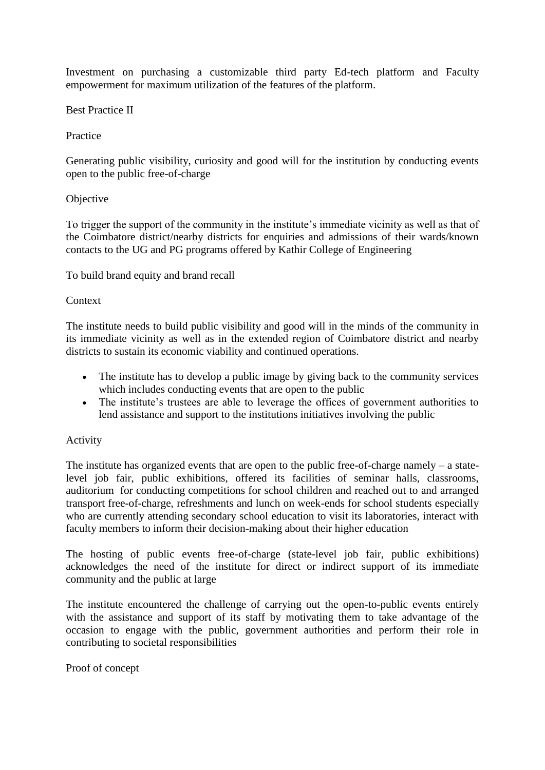Investment on purchasing a customizable third party Ed-tech platform and Faculty empowerment for maximum utilization of the features of the platform.

Best Practice II

Practice

Generating public visibility, curiosity and good will for the institution by conducting events open to the public free-of-charge

### **Objective**

To trigger the support of the community in the institute's immediate vicinity as well as that of the Coimbatore district/nearby districts for enquiries and admissions of their wards/known contacts to the UG and PG programs offered by Kathir College of Engineering

To build brand equity and brand recall

#### **Context**

The institute needs to build public visibility and good will in the minds of the community in its immediate vicinity as well as in the extended region of Coimbatore district and nearby districts to sustain its economic viability and continued operations.

- The institute has to develop a public image by giving back to the community services which includes conducting events that are open to the public
- The institute's trustees are able to leverage the offices of government authorities to lend assistance and support to the institutions initiatives involving the public

#### Activity

The institute has organized events that are open to the public free-of-charge namely – a statelevel job fair, public exhibitions, offered its facilities of seminar halls, classrooms, auditorium for conducting competitions for school children and reached out to and arranged transport free-of-charge, refreshments and lunch on week-ends for school students especially who are currently attending secondary school education to visit its laboratories, interact with faculty members to inform their decision-making about their higher education

The hosting of public events free-of-charge (state-level job fair, public exhibitions) acknowledges the need of the institute for direct or indirect support of its immediate community and the public at large

The institute encountered the challenge of carrying out the open-to-public events entirely with the assistance and support of its staff by motivating them to take advantage of the occasion to engage with the public, government authorities and perform their role in contributing to societal responsibilities

Proof of concept